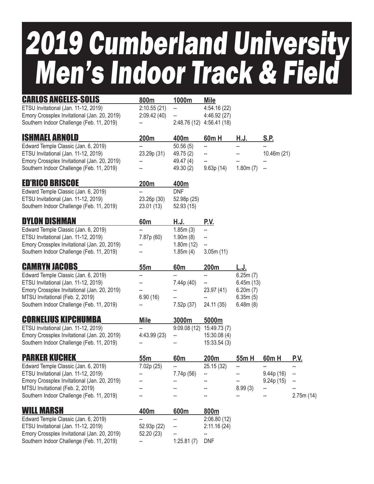## 2019 Cumberland University Men's Indoor Track & Field

| <b>CARLOS ANGELES-SOLIS</b>                  | 800m            | 1000m           | <b>Mile</b>               |           |             |             |
|----------------------------------------------|-----------------|-----------------|---------------------------|-----------|-------------|-------------|
| ETSU Invitational (Jan. 11-12, 2019)         | 2:10.55(21)     | --              | 4:54.16 (22)              |           |             |             |
| Emory Crossplex Invitational (Jan. 20, 2019) | 2:09.42(40)     |                 | 4:46.92 (27)              |           |             |             |
| Southern Indoor Challenge (Feb. 11, 2019)    |                 |                 | 2:48.76 (12) 4:56.41 (18) |           |             |             |
| <b>ISHMAEL ARNOLD</b>                        | 200m            | 400m            | 60m H                     | H.J.      | S.P.        |             |
| Edward Temple Classic (Jan. 6, 2019)         |                 | 50.56(5)        | --                        | --        |             |             |
| ETSU Invitational (Jan. 11-12, 2019)         | 23.29p (31)     | 49.75 (2)       |                           |           | 10.46m (21) |             |
| Emory Crossplex Invitational (Jan. 20, 2019) |                 | 49.47 (4)       |                           |           |             |             |
| Southern Indoor Challenge (Feb. 11, 2019)    |                 | 49.30 (2)       | 9.63p(14)                 | 1.80m(7)  |             |             |
| <b>ED'RICO BRISCOE</b>                       | 200m            | 400m            |                           |           |             |             |
| Edward Temple Classic (Jan. 6, 2019)         |                 | <b>DNF</b>      |                           |           |             |             |
| ETSU Invitational (Jan. 11-12, 2019)         | 23.26p (30)     | 52.98p (25)     |                           |           |             |             |
| Southern Indoor Challenge (Feb. 11, 2019)    | 23.01 (13)      | 52.93 (15)      |                           |           |             |             |
| <b>DYLON DISHMAN</b>                         | 60 <sub>m</sub> | <u>H.J.</u>     | <u>p.v.</u>               |           |             |             |
| Edward Temple Classic (Jan. 6, 2019)         |                 | 1.85m(3)        | --                        |           |             |             |
| ETSU Invitational (Jan. 11-12, 2019)         | 7.87p (60)      | 1.90m(8)        | --                        |           |             |             |
| Emory Crossplex Invitational (Jan. 20, 2019) |                 | 1.80m(12)       | --                        |           |             |             |
| Southern Indoor Challenge (Feb. 11, 2019)    |                 | 1.85m(4)        | 3.05m(11)                 |           |             |             |
| <b>CAMRYN JACOBS</b>                         | 55 <sub>m</sub> | 60 <sub>m</sub> | 200m                      | L.J.      |             |             |
| Edward Temple Classic (Jan. 6, 2019)         |                 |                 | --                        | 6.25m(7)  |             |             |
| ETSU Invitational (Jan. 11-12, 2019)         |                 | 7.44p (40)      | --                        | 6.45m(13) |             |             |
| Emory Crossplex Invitational (Jan. 20, 2019) |                 |                 | 23.97 (41)                | 6.20m(7)  |             |             |
| MTSU Invitational (Feb. 2, 2019)             | 6.90(16)        |                 |                           | 6.35m(5)  |             |             |
| Southern Indoor Challenge (Feb. 11, 2019)    |                 | 7.52p (37)      | 24.11 (35)                | 6.48m(8)  |             |             |
| <b>CORNELIUS KIPCHUMBA</b>                   | <b>Mile</b>     | 3000m           | 5000m                     |           |             |             |
| ETSU Invitational (Jan. 11-12, 2019)         | --              |                 | 9:09.08 (12) 15:49.73 (7) |           |             |             |
| Emory Crossplex Invitational (Jan. 20, 2019) | 4:43.99 (23)    | --              | 15:30.08(4)               |           |             |             |
| Southern Indoor Challenge (Feb. 11, 2019)    |                 |                 | 15:33.54(3)               |           |             |             |
| <b>PARKER KUCHEK</b>                         | 55m             | 60 <sub>m</sub> | 200m                      | 55m H     | 60m H       | <u>P.V.</u> |
| Edward Temple Classic (Jan. 6, 2019)         | 7.02p (25)      | ÷               | 25.15 (32)                | ÷         | ÷           | --          |
| ETSU Invitational (Jan. 11-12, 2019)         |                 | 7.74p (56)      |                           |           | 9.44p (16)  |             |
| Emory Crossplex Invitational (Jan. 20, 2019) |                 |                 |                           |           | 9.24p (15)  |             |
| MTSU Invitational (Feb. 2, 2019)             |                 |                 |                           | 8.99(3)   |             |             |
| Southern Indoor Challenge (Feb. 11, 2019)    |                 |                 |                           |           |             | 2.75m(14)   |
| <b>WILL MARSH</b>                            | 400m            | 600m            | 800m                      |           |             |             |
| Edward Temple Classic (Jan. 6, 2019)         |                 |                 | 2:06.80(12)               |           |             |             |
| ETSU Invitational (Jan. 11-12, 2019)         | 52.93p (22)     |                 | 2:11.16(24)               |           |             |             |
| Emory Crossplex Invitational (Jan. 20, 2019) | 52.20 (23)      |                 |                           |           |             |             |

Southern Indoor Challenge (Feb. 11, 2019) - 1:25.81 (7) DNF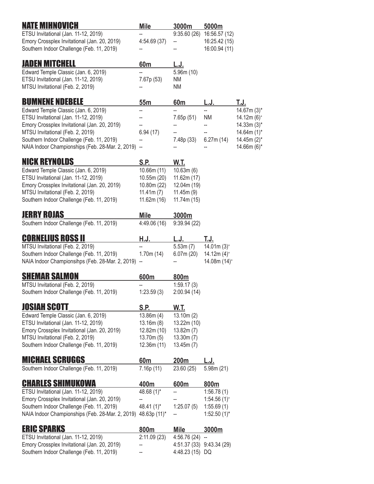| <b>NATE MIHNOVICH</b>                                                         | Mile                     | 3000m             | 5000m                     |                              |
|-------------------------------------------------------------------------------|--------------------------|-------------------|---------------------------|------------------------------|
| ETSU Invitational (Jan. 11-12, 2019)                                          |                          | 9:35.60(26)       | 16:56.57 (12)             |                              |
| Emory Crossplex Invitational (Jan. 20, 2019)                                  | 4:54.69(37)              | --                | 16:25.42 (15)             |                              |
| Southern Indoor Challenge (Feb. 11, 2019)                                     |                          |                   | 16:00.94 (11)             |                              |
| <b>JADEN MITCHELL</b>                                                         | 60m                      | <u>L.J.</u>       |                           |                              |
| Edward Temple Classic (Jan. 6, 2019)                                          |                          | 5.96m(10)         |                           |                              |
| ETSU Invitational (Jan. 11-12, 2019)                                          | 7.67p (53)               | ΝM                |                           |                              |
| MTSU Invitational (Feb. 2, 2019)                                              |                          | ΝM                |                           |                              |
| <b>BUMNENE NDEBELE</b>                                                        | 55m                      | 60 <sub>m</sub>   | L.J.                      | T.J.                         |
| Edward Temple Classic (Jan. 6, 2019)                                          |                          |                   | --                        | $14.67m(3)$ *                |
| ETSU Invitational (Jan. 11-12, 2019)                                          |                          | 7.65p (51)        | <b>NM</b>                 | $14.12m(6)^+$                |
| Emory Crossplex Invitational (Jan. 20, 2019)                                  |                          |                   |                           | $14.33m(3)$ *                |
| MTSU Invitational (Feb. 2, 2019)<br>Southern Indoor Challenge (Feb. 11, 2019) | 6.94(17)<br>--           | 7.48p (33)        | 6.27m(14)                 | $14.64m(1)$ *<br>14.45m (2)* |
| NAIA Indoor Championships (Feb. 28-Mar. 2, 2019)                              | $\overline{\phantom{a}}$ |                   |                           | $14.66m(6)$ *                |
| <b>NICK REYNOLDS</b>                                                          | S.P.                     |                   |                           |                              |
| Edward Temple Classic (Jan. 6, 2019)                                          | 10.66m(11)               | W.T.<br>10.63m(6) |                           |                              |
| ETSU Invitational (Jan. 11-12, 2019)                                          | 10.55m (20)              | 11.62m(17)        |                           |                              |
| Emory Crossplex Invitational (Jan. 20, 2019)                                  | 10.80m (22)              | 12.04m (19)       |                           |                              |
| MTSU Invitational (Feb. 2, 2019)                                              | 11.41m(7)                | 11.45m(9)         |                           |                              |
| Southern Indoor Challenge (Feb. 11, 2019)                                     | 11.62m(16)               | 11.74m(15)        |                           |                              |
| <b>JERRY ROJAS</b>                                                            | <b>Mile</b>              | 3000m             |                           |                              |
| Southern Indoor Challenge (Feb. 11, 2019)                                     | 4:49.06(16)              | 9:39.94(22)       |                           |                              |
| <u>Cornelius Ross II</u>                                                      | H.J.                     | L.J.              | T.J.                      |                              |
| MTSU Invitational (Feb. 2, 2019)                                              |                          | 5.53m(7)          | $14.01m(3)$ <sup>+</sup>  |                              |
| Southern Indoor Challenge (Feb. 11, 2019)                                     | 1.70m(14)                | 6.07m(20)         | 14.12m $(4)^+$            |                              |
| NAIA Indoor Championsihps (Feb. 28-Mar. 2, 2019) --                           |                          |                   | 14.08m (14) <sup>+</sup>  |                              |
| <b>SHEMAR SALMON</b>                                                          | 600m                     | 800m              |                           |                              |
| MTSU Invitational (Feb. 2, 2019)                                              |                          | 1:59.17(3)        |                           |                              |
| Southern Indoor Challenge (Feb. 11, 2019)                                     | 1:23.59(3)               | 2:00.94(14)       |                           |                              |
| <b>JOSIAH SCOTT</b>                                                           | S.P.                     | W.T.              |                           |                              |
| Edward Temple Classic (Jan. 6, 2019)                                          | 13.86m(4)                | 13.10m(2)         |                           |                              |
| ETSU Invitational (Jan. 11-12, 2019)                                          | 13.16m(8)                | 13.22m (10)       |                           |                              |
| Emory Crossplex Invitational (Jan. 20, 2019)                                  | 12.82m (10)              | 13.82m(7)         |                           |                              |
| MTSU Invitational (Feb. 2, 2019)                                              | 13.70m(5)                | 13.30m(7)         |                           |                              |
| Southern Indoor Challenge (Feb. 11, 2019)                                     | 12.36m (11)              | 13.45m(7)         |                           |                              |
| <b>MICHAEL SCRUGGS</b>                                                        | 60m                      | 200m              | L.J.                      |                              |
| Southern Indoor Challenge (Feb. 11, 2019)                                     | 7.16p (11)               | 23.60 (25)        | 5.98m (21)                |                              |
| <b>CHARLES SHIMUKOWA</b>                                                      | 400m                     | 600m              | 800m                      |                              |
| ETSU Invitational (Jan. 11-12, 2019)                                          | 48.68 (1)*               |                   | 1:56.78(1)                |                              |
| Emory Crossplex Invitational (Jan. 20, 2019)                                  | --                       |                   | $1:54.56(1)^{+}$          |                              |
| Southern Indoor Challenge (Feb. 11, 2019)                                     | 48.41 (1)*               | 1:25.07(5)        | 1:55.69(1)                |                              |
| NAIA Indoor Championships (Feb. 28-Mar. 2, 2019)                              | 48.63p (11)*             |                   | $1:52.50(1)^{*}$          |                              |
| <b>ERIC SPARKS</b>                                                            | 800m                     | <b>Mile</b>       | 3000m                     |                              |
| ETSU Invitational (Jan. 11-12, 2019)                                          | 2:11.09 (23)             | 4:56.76(24)       |                           |                              |
| Emory Crossplex Invitational (Jan. 20, 2019)                                  |                          |                   | 4:51.37 (33) 9:43.34 (29) |                              |
| Southern Indoor Challenge (Feb. 11, 2019)                                     |                          | 4:48.23 (15) DQ   |                           |                              |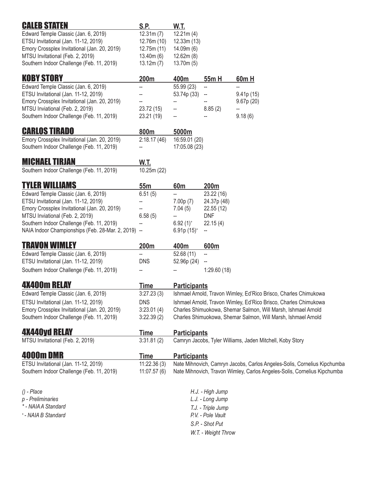| <b>CALEB STATEN</b>                                                              | S.P.                     | W.T.                   |                          |                                                                          |
|----------------------------------------------------------------------------------|--------------------------|------------------------|--------------------------|--------------------------------------------------------------------------|
| Edward Temple Classic (Jan. 6, 2019)                                             | 12.31m(7)                | 12.21m(4)              |                          |                                                                          |
| ETSU Invitational (Jan. 11-12, 2019)                                             | 12.76m (10)              | 12.33m(13)             |                          |                                                                          |
| Emory Crossplex Invitational (Jan. 20, 2019)<br>MTSU Invitational (Feb. 2, 2019) | 12.75m (11)<br>13.40m(6) | 14.09m(6)<br>12.62m(8) |                          |                                                                          |
| Southern Indoor Challenge (Feb. 11, 2019)                                        | 13.12m(7)                | 13.70m(5)              |                          |                                                                          |
| <b>KOBY STORY</b>                                                                | 200m                     | 400m                   | 55m H                    | 60m H                                                                    |
| Edward Temple Classic (Jan. 6, 2019)                                             | --                       | 55.99 (23)             | --                       |                                                                          |
| ETSU Invitational (Jan. 11-12, 2019)                                             |                          | 53.74p (33)            |                          | 9.41p(15)                                                                |
| Emory Crossplex Invitational (Jan. 20, 2019)<br>MTSU Inviational (Feb. 2, 2019)  | 23.72 (15)               |                        | 8.85(2)                  | 9.67p(20)<br>--                                                          |
| Southern Indoor Challenge (Feb. 11, 2019)                                        | 23.21 (19)               |                        |                          | 9.18(6)                                                                  |
| <b>CARLOS TIRADO</b>                                                             | 800m                     | 5000m                  |                          |                                                                          |
| Emory Crossplex Invitational (Jan. 20, 2019)                                     | 2:18.17(46)              | 16:59.01 (20)          |                          |                                                                          |
| Southern Indoor Challenge (Feb. 11, 2019)                                        | --                       | 17:05.08 (23)          |                          |                                                                          |
| <b>MICHAEL TIRJAN</b>                                                            | W.T.                     |                        |                          |                                                                          |
| Southern Indoor Challenge (Feb. 11, 2019)                                        | 10.25m (22)              |                        |                          |                                                                          |
| <b>TYLER WILLIAMS</b>                                                            | 55m                      | 60 <sub>m</sub>        | 200m                     |                                                                          |
| Edward Temple Classic (Jan. 6, 2019)                                             | 6.51(5)                  |                        | 23.22 (16)               |                                                                          |
| ETSU Invitational (Jan. 11-12, 2019)                                             | --                       | 7.00p(7)               | 24.37p (48)              |                                                                          |
| Emory Crossplex Invitational (Jan. 20, 2019)<br>MTSU Inviational (Feb. 2, 2019)  | 6.58(5)                  | 7.04(5)<br>--          | 22.55(12)<br><b>DNF</b>  |                                                                          |
| Southern Indoor Challenge (Feb. 11, 2019)                                        | --                       | $6.92(1)$ <sup>+</sup> | 22.15(4)                 |                                                                          |
| NAIA Indoor Championships (Feb. 28-Mar. 2, 2019) --                              |                          | $6.91p(15)^+$          | $\overline{\phantom{a}}$ |                                                                          |
| <b>TRAVON WIMLEY</b>                                                             | 200m                     | 400m                   | 600m                     |                                                                          |
| Edward Temple Classic (Jan. 6, 2019)                                             | --                       | 52.68 (11)             | --                       |                                                                          |
| ETSU Invitational (Jan. 11-12, 2019)                                             | <b>DNS</b>               | 52.96p (24)            |                          |                                                                          |
| Southern Indoor Challenge (Feb. 11, 2019)                                        |                          |                        | 1:29.60(18)              |                                                                          |
| <b>4X400m RELAY</b>                                                              | Time                     | <b>Participants</b>    |                          |                                                                          |
| Edward Temple Classic (Jan. 6, 2019)                                             | 3:27.23(3)               |                        |                          | Ishmael Arnold, Travon Wimley, Ed'Rico Brisco, Charles Chimukowa         |
| ETSU Invitational (Jan. 11-12, 2019)                                             | <b>DNS</b>               |                        |                          | Ishmael Arnold, Travon Wimley, Ed'Rico Brisco, Charles Chimukowa         |
| Emory Crossplex Invitational (Jan. 20, 2019)                                     | 3:23.01(4)               |                        |                          | Charles Shimuokowa, Shemar Salmon, Will Marsh, Ishmael Arnold            |
| Southern Indoor Challenge (Feb. 11, 2019)                                        | 3:22.39(2)               |                        |                          | Charles Shimuokowa, Shemar Salmon, Will Marsh, Ishmael Arnold            |
| <b>4X440yd RELAY</b>                                                             | Time                     | <b>Participants</b>    |                          |                                                                          |
| MTSU Invitational (Feb. 2, 2019)                                                 | 3:31.81(2)               |                        |                          | Camryn Jacobs, Tyler Williams, Jaden Mitchell, Koby Story                |
| <b>4000mDMR</b>                                                                  | <b>Time</b>              | <b>Participants</b>    |                          |                                                                          |
| ETSU Invitational (Jan. 11-12, 2019)                                             | 11:22.36(3)              |                        |                          | Nate Mihnovich, Camryn Jacobs, Carlos Angeles-Solis, Cornelius Kipchumba |
| Southern Indoor Challenge (Feb. 11, 2019)                                        | 11:07.57(6)              |                        |                          | Nate Mihnovich, Travon Wimley, Carlos Angeles-Solis, Cornelius Kipchumba |
| $()$ - Place                                                                     |                          |                        | H.J. - High Jump         |                                                                          |
| p - Preliminaries                                                                |                          |                        | L.J. - Long Jump         |                                                                          |
| * - NAIA A Standard                                                              |                          |                        | T.J. - Triple Jump       |                                                                          |
| *- NAIA B Standard                                                               |                          |                        | P.V. - Pole Vault        |                                                                          |
|                                                                                  |                          |                        | S.P. - Shot Put          |                                                                          |
|                                                                                  |                          |                        | W.T. - Weight Throw      |                                                                          |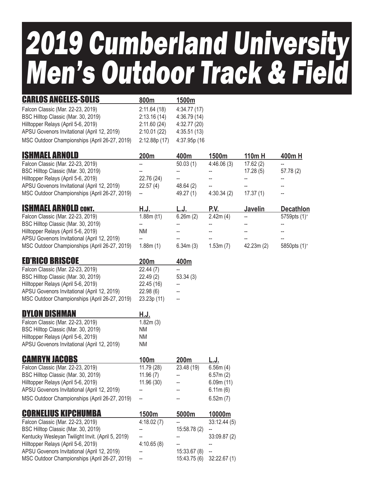## 2019 Cumberland University Men's Outdoor Track & Field

| <b>CARLOS ANGELES-SOLIS</b>                   | 800m         | 1500m        |
|-----------------------------------------------|--------------|--------------|
| Falcon Classic (Mar. 22-23, 2019)             | 2:11.64(18)  | 4:34.77(17)  |
| BSC Hilltop Classic (Mar. 30, 2019)           | 2:13.16(14)  | 4:36.79(14)  |
| Hilltopper Relays (April 5-6, 2019)           | 2:11.60(24)  | 4:32.77(20)  |
| APSU Govenors Invitational (April 12, 2019)   | 2:10.01(22)  | 4:35.51(13)  |
| MSC Outdoor Championships (April 26-27, 2019) | 2:12.88p(17) | 4:37.95p (16 |

| 200m       | 400m      | 1500m      | $110m$ H | 400mH     |
|------------|-----------|------------|----------|-----------|
|            | 50.03(1)  | 4:46.06(3) | 17.62(2) |           |
|            |           |            | 17.28(5) | 57.78 (2) |
| 22.76 (24) | --        |            |          |           |
| 22.57(4)   | 48.64(2)  | --         |          |           |
| $-$        | 49.27 (1) | 4:30.34(2) | 17.37(1) | --        |
|            |           |            |          |           |

| <b>ISHMAEL ARNOLD CONT.</b>                   | H.J.       | L.J.     | P.V.     | <b>Javelin</b>           | <b>Decathlon</b>         |
|-----------------------------------------------|------------|----------|----------|--------------------------|--------------------------|
| Falcon Classic (Mar. 22-23, 2019)             | 1.88m (t1) | 6.26m(2) | 2.42m(4) | $\overline{\phantom{a}}$ | 5759pts (1) <sup>+</sup> |
| BSC Hilltop Classic (Mar. 30, 2019)           |            |          |          |                          | --                       |
| Hilltopper Relays (April 5-6, 2019)           | ΝM         | --       |          |                          | --                       |
| APSU Govenors Invitational (April 12, 2019)   |            | --       |          |                          | --                       |
| MSC Outdoor Championships (April 26-27, 2019) | 1.88m(1)   | 6.34m(3) | 1.53m(7) | 42.23m(2)                | 5850pts (1) <sup>+</sup> |

| <b>ED'RICO BRISCOE</b>                        | 200 <sub>m</sub> | 400m     |
|-----------------------------------------------|------------------|----------|
| Falcon Classic (Mar. 22-23, 2019)             | 22.44(7)         |          |
| BSC Hilltop Classic (Mar. 30, 2019)           | 22.49(2)         | 53.34(3) |
| Hilltopper Relays (April 5-6, 2019)           | 22.45 (16)       |          |
| APSU Govenors Invitational (April 12, 2019)   | 22.98(6)         |          |
| MSC Outdoor Championships (April 26-27, 2019) | 23.23p (11)      |          |

| <b>DYLON DISHMAN</b>                        | H.J.      |
|---------------------------------------------|-----------|
| Falcon Classic (Mar. 22-23, 2019)           | 1.82m(3)  |
| BSC Hilltop Classic (Mar. 30, 2019)         | <b>NM</b> |
| Hilltopper Relays (April 5-6, 2019)         | <b>NM</b> |
| APSU Govenors Invitational (April 12, 2019) | <b>NM</b> |

| <b>CAMRYN JACOBS</b>                          | 100 <sub>m</sub>         | <b>200m</b> | L.J.      |
|-----------------------------------------------|--------------------------|-------------|-----------|
| Falcon Classic (Mar. 22-23, 2019)             | 11.79(28)                | 23.48 (19)  | 6.56m(4)  |
| BSC Hilltop Classic (Mar. 30, 2019)           | 11.96(7)                 |             | 6.57m(2)  |
| Hilltopper Relays (April 5-6, 2019)           | 11.96(30)                | --          | 6.09m(11) |
| APSU Govenors Invitational (April 12, 2019)   |                          |             | 6.11m(6)  |
| MSC Outdoor Championships (April 26-27, 2019) | $\overline{\phantom{a}}$ | --          | 6.52m(7)  |

| <b>CORNELIUS KIPCHUMBA</b>                        | 1500m      | 5000m        | 10000m      |
|---------------------------------------------------|------------|--------------|-------------|
| Falcon Classic (Mar. 22-23, 2019)                 | 4:18.02(7) |              | 33:12.44(5) |
| BSC Hilltop Classic (Mar. 30, 2019)               |            | 15:58.78 (2) |             |
| Kentucky Wesleyan Twilight Invit. (April 5, 2019) |            |              | 33:09.87(2) |
| Hilltopper Relays (April 5-6, 2019)               | 4:10.65(8) |              |             |
| APSU Govenors Invitational (April 12, 2019)       |            | 15:33.67(8)  |             |
| MSC Outdoor Championships (April 26-27, 2019)     | --         | 15:43.75(6)  | 32:22.67(1) |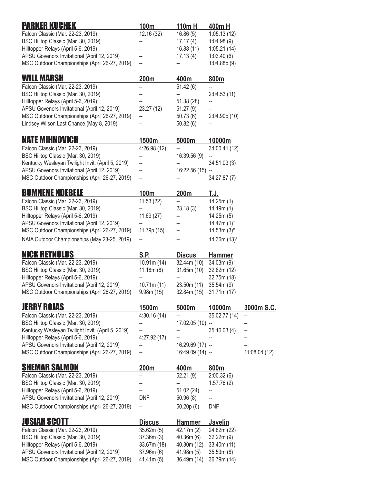| <b>PARKER KUCHEK</b>                                                                         | 100m                       | 110m H                      | <u>400mH</u>                        |               |
|----------------------------------------------------------------------------------------------|----------------------------|-----------------------------|-------------------------------------|---------------|
| Falcon Classic (Mar. 22-23, 2019)                                                            | 12.16 (32)                 | 16.86(5)                    | 1:05.13(12)                         |               |
| BSC Hilltop Classic (Mar. 30, 2019)                                                          | --                         | 17.17 (4)                   | 1:04.98(9)                          |               |
| Hilltopper Relays (April 5-6, 2019)                                                          |                            | 16.88(11)                   | 1:05.21(14)                         |               |
| APSU Govenors Invitational (April 12, 2019)                                                  |                            | 17.13(4)                    | 1:03.40(6)                          |               |
| MSC Outdoor Championships (April 26-27, 2019)                                                | --                         |                             | 1:04.88p(9)                         |               |
| <b>WILL MARSH</b>                                                                            | 200m                       | 400m                        | 800m                                |               |
| Falcon Classic (Mar. 22-23, 2019)                                                            | --                         | 51.42(6)                    |                                     |               |
| BSC Hilltop Classic (Mar. 30, 2019)                                                          |                            | --                          | 2:04.53(11)                         |               |
| Hilltopper Relays (April 5-6, 2019)                                                          |                            | 51.38 (28)                  |                                     |               |
| APSU Govenors Invitational (April 12, 2019)                                                  | 23.27 (12)                 | 51.27(9)                    |                                     |               |
| MSC Outdoor Championships (April 26-27, 2019)                                                | --                         | 50.73(6)                    | 2:04.90p(10)                        |               |
| Lindsey Wilson Last Chance (May 8, 2019)                                                     |                            | 50.82(6)                    |                                     |               |
| <b>NATE MIHNOVICH</b>                                                                        | 1500m                      | 5000m                       | 10000m                              |               |
| Falcon Classic (Mar. 22-23, 2019)                                                            | 4:26.98(12)                |                             | 34:00.41 (12)                       |               |
| BSC Hilltop Classic (Mar. 30, 2019)                                                          |                            | 16:39.56 (9)                |                                     |               |
| Kentucky Wesleyan Twilight Invit. (April 5, 2019)                                            | --                         |                             | 34:51.03(3)                         |               |
| APSU Govenors Invitational (April 12, 2019)                                                  |                            | 16:22.56 (15)               |                                     |               |
| MSC Outdoor Championships (April 26-27, 2019)                                                | --                         |                             | 34:27.87 (7)                        |               |
| <b>BUMNENE NDEBELE</b>                                                                       | 100m                       | 200m                        | T.J.                                |               |
| Falcon Classic (Mar. 22-23, 2019)                                                            | 11.53(22)                  |                             | 14.25m(1)                           |               |
| BSC Hilltop Classic (Mar. 30, 2019)                                                          |                            | 23.18(3)                    | 14.19m(1)                           |               |
| Hilltopper Relays (April 5-6, 2019)                                                          | 11.69(27)                  |                             | 14.25m(5)                           |               |
| APSU Govenors Invitational (April 12, 2019)<br>MSC Outdoor Championships (April 26-27, 2019) | 11.79p (15)                |                             | 14.47m $(1)^{+}$<br>$14.53m(3)^{*}$ |               |
|                                                                                              |                            |                             |                                     |               |
| NAIA Outdoor Championships (May 23-25, 2019)                                                 |                            |                             | $14.36m (13)$ <sup>+</sup>          |               |
| <b>NICK REYNOLDS</b>                                                                         | S.P.                       | <b>Discus</b>               | <b>Hammer</b>                       |               |
| Falcon Classic (Mar. 22-23, 2019)                                                            | 10.91m(14)                 | 32.44m (10)                 | 34.03m(9)                           |               |
| BSC Hilltop Classic (Mar. 30, 2019)                                                          | 11.18m(8)                  | 31.65m(10)                  | 32.62m (12)                         |               |
| Hilltopper Relays (April 5-6, 2019)                                                          |                            |                             | 32.75m (18)                         |               |
| APSU Govenors Invitational (April 12, 2019)                                                  | 10.71m(11)                 | 23.50m (11)                 | 35.54m(9)                           |               |
| MSC Outdoor Championships (April 26-27, 2019) 9.98m (15)                                     |                            | 32.84m (15) 31.71m (17)     |                                     |               |
| <b>JERRY ROJAS</b>                                                                           | 1500m                      | 5000m                       | 10000m                              | 3000m S.C.    |
| Falcon Classic (Mar. 22-23, 2019)                                                            | 4:30.16(14)                |                             | 35:02.77 (14)                       | --            |
| BSC Hilltop Classic (Mar. 30, 2019)                                                          |                            | 17:02.05 (10)               | $\overline{\phantom{a}}$            |               |
| Kentucky Wesleyan Twilight Invit. (April 5, 2019)<br>Hilltopper Relays (April 5-6, 2019)     | 4:27.92(17)                |                             | 35:16.03 (4)                        |               |
| APSU Govenors Invitational (April 12, 2019)                                                  | ÷                          | $16:29.69(17) -$            |                                     |               |
| MSC Outdoor Championships (April 26-27, 2019)                                                | --                         | 16:49.09 (14) -             |                                     | 11:08.04 (12) |
| <b>SHEMAR SALMON</b>                                                                         |                            |                             |                                     |               |
| Falcon Classic (Mar. 22-23, 2019)                                                            | 200m<br>--                 | 400m<br>52.21(9)            | 800m<br>2:00.32(6)                  |               |
| BSC Hilltop Classic (Mar. 30, 2019)                                                          |                            | --                          | 1:57.76(2)                          |               |
| Hilltopper Relays (April 5-6, 2019)                                                          |                            | 51.02 (24)                  |                                     |               |
| APSU Govenors Invitational (April 12, 2019)                                                  | <b>DNF</b>                 | 50.96(8)                    |                                     |               |
| MSC Outdoor Championships (April 26-27, 2019)                                                | --                         | 50.20p(6)                   | <b>DNF</b>                          |               |
| <b>JOSIAH SCOTT</b>                                                                          |                            |                             |                                     |               |
| Falcon Classic (Mar. 22-23, 2019)                                                            | <b>Discus</b><br>35.62m(5) | <u>Hammer</u><br>42.17m (2) | <b>Javelin</b><br>24.82m (22)       |               |
| BSC Hilltop Classic (Mar. 30, 2019)                                                          | 37.36m(3)                  | 40.36m(6)                   | 32.22m (9)                          |               |
| Hilltopper Relays (April 5-6, 2019)                                                          | 33.67m (18)                | 40.30m (12)                 | 33.40m (11)                         |               |
| APSU Govenors Invitational (April 12, 2019)                                                  | 37.96m (6)                 | 41.98m(5)                   | 35.53m(8)                           |               |
| MSC Outdoor Championships (April 26-27, 2019)                                                | 41.41m(5)                  | 36.49m (14)                 | 36.79m (14)                         |               |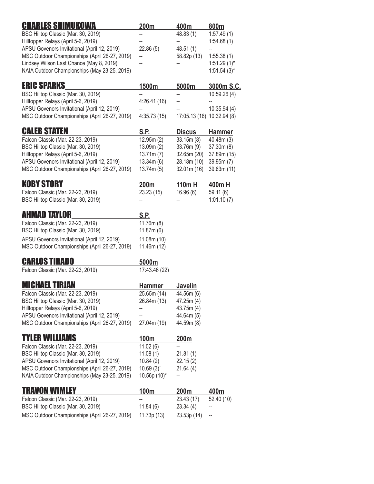| 1:57.49(1)<br>BSC Hilltop Classic (Mar. 30, 2019)<br>48.83 (1)<br>Hilltopper Relays (April 5-6, 2019)<br>1:54.68(1)<br>--<br>APSU Govenors Invitational (April 12, 2019)<br>22.86(5)<br>48.51 (1)<br>MSC Outdoor Championships (April 26-27, 2019)<br>58.82p (13)<br>1:55.38(1)<br>--<br>Lindsey Wilson Last Chance (May 8, 2019)<br>$1:51.29(1)^{*}$<br>NAIA Outdoor Championships (May 23-25, 2019)<br>$1:51.54(3)^{*}$<br>--<br><b>ERIC SPARKS</b><br>1500m<br>5000m<br>3000m S.C.<br>BSC Hilltop Classic (Mar. 30, 2019)<br>10:59.26 (4)<br>--<br>Hilltopper Relays (April 5-6, 2019)<br>4:26.41(16)<br>APSU Govenors Invitational (April 12, 2019)<br>10:35.94(4)<br>4:35.73(15)<br>MSC Outdoor Championships (April 26-27, 2019)<br>17:05.13 (16) 10:32.94 (8)<br><b>CALEB STATEN</b><br>S.P.<br><b>Discus</b><br><b>Hammer</b><br>12.95m(2)<br>Falcon Classic (Mar. 22-23, 2019)<br>33.15m(8)<br>40.48m (3)<br>BSC Hilltop Classic (Mar. 30, 2019)<br>13.09m (2)<br>37.30m(8)<br>33.76m (9)<br>Hilltopper Relays (April 5-6, 2019)<br>13.71m(7)<br>32.65m (20)<br>37.89m (15)<br>APSU Govenors Invitational (April 12, 2019)<br>13.34m(6)<br>28.18m (10)<br>39.95m (7)<br>MSC Outdoor Championships (April 26-27, 2019)<br>13.74m (5)<br>32.01m(16)<br>39.63m (11)<br><b>KOBY STORY</b><br>200m<br>110m H<br><u>400mH</u><br>Falcon Classic (Mar. 22-23, 2019)<br>16.96(6)<br>23.23 (15)<br>59.11(6)<br>BSC Hilltop Classic (Mar. 30, 2019)<br>1:01.10(7)<br>AHMAD TAYLOR<br>S.P.<br>Falcon Classic (Mar. 22-23, 2019)<br>11.76m(8)<br>BSC Hilltop Classic (Mar. 30, 2019)<br>11.87m(6)<br>APSU Govenors Invitational (April 12, 2019)<br>11.08m (10)<br>MSC Outdoor Championships (April 26-27, 2019)<br>11.46m (12)<br><b>CARLOS TIRADO</b><br>5000m<br>Falcon Classic (Mar. 22-23, 2019)<br>17:43.46 (22)<br><b>MICHAEL TIRJAN</b><br><b>Javelin</b><br><b>Hammer</b><br>Falcon Classic (Mar. 22-23, 2019)<br>25.65m (14)<br>44.56m (6)<br>BSC Hilltop Classic (Mar. 30, 2019)<br>26.84m (13)<br>47.25m (4)<br>Hilltopper Relays (April 5-6, 2019)<br>43.75m (4)<br>APSU Govenors Invitational (April 12, 2019)<br>44.64m (5)<br>MSC Outdoor Championships (April 26-27, 2019)<br>44.59m (8)<br>27.04m (19)<br><b>TYLER WILLIAMS</b><br><u> 100m</u><br>200m<br>Falcon Classic (Mar. 22-23, 2019)<br>11.02(6)<br>BSC Hilltop Classic (Mar. 30, 2019)<br>11.08(1)<br>21.81 (1)<br>APSU Govenors Invitational (April 12, 2019)<br>10.84(2)<br>22.15(2)<br>MSC Outdoor Championships (April 26-27, 2019)<br>$10.69(3)^{+}$<br>21.64 (4)<br>NAIA Outdoor Championships (May 23-25, 2019)<br>10.56p (10)*<br>TRAVON WIMLEY<br>100m<br>200m<br>400m<br>Falcon Classic (Mar. 22-23, 2019)<br>23.43 (17)<br>52.40 (10)<br>BSC Hilltop Classic (Mar. 30, 2019)<br>11.84(6)<br>23.34 (4) | <b>CHARLES SHIMUKOWA</b>                      | 200m        | 400m        | 800m |
|------------------------------------------------------------------------------------------------------------------------------------------------------------------------------------------------------------------------------------------------------------------------------------------------------------------------------------------------------------------------------------------------------------------------------------------------------------------------------------------------------------------------------------------------------------------------------------------------------------------------------------------------------------------------------------------------------------------------------------------------------------------------------------------------------------------------------------------------------------------------------------------------------------------------------------------------------------------------------------------------------------------------------------------------------------------------------------------------------------------------------------------------------------------------------------------------------------------------------------------------------------------------------------------------------------------------------------------------------------------------------------------------------------------------------------------------------------------------------------------------------------------------------------------------------------------------------------------------------------------------------------------------------------------------------------------------------------------------------------------------------------------------------------------------------------------------------------------------------------------------------------------------------------------------------------------------------------------------------------------------------------------------------------------------------------------------------------------------------------------------------------------------------------------------------------------------------------------------------------------------------------------------------------------------------------------------------------------------------------------------------------------------------------------------------------------------------------------------------------------------------------------------------------------------------------------------------------------------------------------------------------------------------------------------------------------------------------------------------------------------------------------------------------------|-----------------------------------------------|-------------|-------------|------|
|                                                                                                                                                                                                                                                                                                                                                                                                                                                                                                                                                                                                                                                                                                                                                                                                                                                                                                                                                                                                                                                                                                                                                                                                                                                                                                                                                                                                                                                                                                                                                                                                                                                                                                                                                                                                                                                                                                                                                                                                                                                                                                                                                                                                                                                                                                                                                                                                                                                                                                                                                                                                                                                                                                                                                                                          |                                               |             |             |      |
|                                                                                                                                                                                                                                                                                                                                                                                                                                                                                                                                                                                                                                                                                                                                                                                                                                                                                                                                                                                                                                                                                                                                                                                                                                                                                                                                                                                                                                                                                                                                                                                                                                                                                                                                                                                                                                                                                                                                                                                                                                                                                                                                                                                                                                                                                                                                                                                                                                                                                                                                                                                                                                                                                                                                                                                          |                                               |             |             |      |
|                                                                                                                                                                                                                                                                                                                                                                                                                                                                                                                                                                                                                                                                                                                                                                                                                                                                                                                                                                                                                                                                                                                                                                                                                                                                                                                                                                                                                                                                                                                                                                                                                                                                                                                                                                                                                                                                                                                                                                                                                                                                                                                                                                                                                                                                                                                                                                                                                                                                                                                                                                                                                                                                                                                                                                                          |                                               |             |             |      |
|                                                                                                                                                                                                                                                                                                                                                                                                                                                                                                                                                                                                                                                                                                                                                                                                                                                                                                                                                                                                                                                                                                                                                                                                                                                                                                                                                                                                                                                                                                                                                                                                                                                                                                                                                                                                                                                                                                                                                                                                                                                                                                                                                                                                                                                                                                                                                                                                                                                                                                                                                                                                                                                                                                                                                                                          |                                               |             |             |      |
|                                                                                                                                                                                                                                                                                                                                                                                                                                                                                                                                                                                                                                                                                                                                                                                                                                                                                                                                                                                                                                                                                                                                                                                                                                                                                                                                                                                                                                                                                                                                                                                                                                                                                                                                                                                                                                                                                                                                                                                                                                                                                                                                                                                                                                                                                                                                                                                                                                                                                                                                                                                                                                                                                                                                                                                          |                                               |             |             |      |
|                                                                                                                                                                                                                                                                                                                                                                                                                                                                                                                                                                                                                                                                                                                                                                                                                                                                                                                                                                                                                                                                                                                                                                                                                                                                                                                                                                                                                                                                                                                                                                                                                                                                                                                                                                                                                                                                                                                                                                                                                                                                                                                                                                                                                                                                                                                                                                                                                                                                                                                                                                                                                                                                                                                                                                                          |                                               |             |             |      |
|                                                                                                                                                                                                                                                                                                                                                                                                                                                                                                                                                                                                                                                                                                                                                                                                                                                                                                                                                                                                                                                                                                                                                                                                                                                                                                                                                                                                                                                                                                                                                                                                                                                                                                                                                                                                                                                                                                                                                                                                                                                                                                                                                                                                                                                                                                                                                                                                                                                                                                                                                                                                                                                                                                                                                                                          |                                               |             |             |      |
|                                                                                                                                                                                                                                                                                                                                                                                                                                                                                                                                                                                                                                                                                                                                                                                                                                                                                                                                                                                                                                                                                                                                                                                                                                                                                                                                                                                                                                                                                                                                                                                                                                                                                                                                                                                                                                                                                                                                                                                                                                                                                                                                                                                                                                                                                                                                                                                                                                                                                                                                                                                                                                                                                                                                                                                          |                                               |             |             |      |
|                                                                                                                                                                                                                                                                                                                                                                                                                                                                                                                                                                                                                                                                                                                                                                                                                                                                                                                                                                                                                                                                                                                                                                                                                                                                                                                                                                                                                                                                                                                                                                                                                                                                                                                                                                                                                                                                                                                                                                                                                                                                                                                                                                                                                                                                                                                                                                                                                                                                                                                                                                                                                                                                                                                                                                                          |                                               |             |             |      |
|                                                                                                                                                                                                                                                                                                                                                                                                                                                                                                                                                                                                                                                                                                                                                                                                                                                                                                                                                                                                                                                                                                                                                                                                                                                                                                                                                                                                                                                                                                                                                                                                                                                                                                                                                                                                                                                                                                                                                                                                                                                                                                                                                                                                                                                                                                                                                                                                                                                                                                                                                                                                                                                                                                                                                                                          |                                               |             |             |      |
|                                                                                                                                                                                                                                                                                                                                                                                                                                                                                                                                                                                                                                                                                                                                                                                                                                                                                                                                                                                                                                                                                                                                                                                                                                                                                                                                                                                                                                                                                                                                                                                                                                                                                                                                                                                                                                                                                                                                                                                                                                                                                                                                                                                                                                                                                                                                                                                                                                                                                                                                                                                                                                                                                                                                                                                          |                                               |             |             |      |
|                                                                                                                                                                                                                                                                                                                                                                                                                                                                                                                                                                                                                                                                                                                                                                                                                                                                                                                                                                                                                                                                                                                                                                                                                                                                                                                                                                                                                                                                                                                                                                                                                                                                                                                                                                                                                                                                                                                                                                                                                                                                                                                                                                                                                                                                                                                                                                                                                                                                                                                                                                                                                                                                                                                                                                                          |                                               |             |             |      |
|                                                                                                                                                                                                                                                                                                                                                                                                                                                                                                                                                                                                                                                                                                                                                                                                                                                                                                                                                                                                                                                                                                                                                                                                                                                                                                                                                                                                                                                                                                                                                                                                                                                                                                                                                                                                                                                                                                                                                                                                                                                                                                                                                                                                                                                                                                                                                                                                                                                                                                                                                                                                                                                                                                                                                                                          |                                               |             |             |      |
|                                                                                                                                                                                                                                                                                                                                                                                                                                                                                                                                                                                                                                                                                                                                                                                                                                                                                                                                                                                                                                                                                                                                                                                                                                                                                                                                                                                                                                                                                                                                                                                                                                                                                                                                                                                                                                                                                                                                                                                                                                                                                                                                                                                                                                                                                                                                                                                                                                                                                                                                                                                                                                                                                                                                                                                          |                                               |             |             |      |
|                                                                                                                                                                                                                                                                                                                                                                                                                                                                                                                                                                                                                                                                                                                                                                                                                                                                                                                                                                                                                                                                                                                                                                                                                                                                                                                                                                                                                                                                                                                                                                                                                                                                                                                                                                                                                                                                                                                                                                                                                                                                                                                                                                                                                                                                                                                                                                                                                                                                                                                                                                                                                                                                                                                                                                                          |                                               |             |             |      |
|                                                                                                                                                                                                                                                                                                                                                                                                                                                                                                                                                                                                                                                                                                                                                                                                                                                                                                                                                                                                                                                                                                                                                                                                                                                                                                                                                                                                                                                                                                                                                                                                                                                                                                                                                                                                                                                                                                                                                                                                                                                                                                                                                                                                                                                                                                                                                                                                                                                                                                                                                                                                                                                                                                                                                                                          |                                               |             |             |      |
|                                                                                                                                                                                                                                                                                                                                                                                                                                                                                                                                                                                                                                                                                                                                                                                                                                                                                                                                                                                                                                                                                                                                                                                                                                                                                                                                                                                                                                                                                                                                                                                                                                                                                                                                                                                                                                                                                                                                                                                                                                                                                                                                                                                                                                                                                                                                                                                                                                                                                                                                                                                                                                                                                                                                                                                          |                                               |             |             |      |
|                                                                                                                                                                                                                                                                                                                                                                                                                                                                                                                                                                                                                                                                                                                                                                                                                                                                                                                                                                                                                                                                                                                                                                                                                                                                                                                                                                                                                                                                                                                                                                                                                                                                                                                                                                                                                                                                                                                                                                                                                                                                                                                                                                                                                                                                                                                                                                                                                                                                                                                                                                                                                                                                                                                                                                                          |                                               |             |             |      |
|                                                                                                                                                                                                                                                                                                                                                                                                                                                                                                                                                                                                                                                                                                                                                                                                                                                                                                                                                                                                                                                                                                                                                                                                                                                                                                                                                                                                                                                                                                                                                                                                                                                                                                                                                                                                                                                                                                                                                                                                                                                                                                                                                                                                                                                                                                                                                                                                                                                                                                                                                                                                                                                                                                                                                                                          |                                               |             |             |      |
|                                                                                                                                                                                                                                                                                                                                                                                                                                                                                                                                                                                                                                                                                                                                                                                                                                                                                                                                                                                                                                                                                                                                                                                                                                                                                                                                                                                                                                                                                                                                                                                                                                                                                                                                                                                                                                                                                                                                                                                                                                                                                                                                                                                                                                                                                                                                                                                                                                                                                                                                                                                                                                                                                                                                                                                          |                                               |             |             |      |
|                                                                                                                                                                                                                                                                                                                                                                                                                                                                                                                                                                                                                                                                                                                                                                                                                                                                                                                                                                                                                                                                                                                                                                                                                                                                                                                                                                                                                                                                                                                                                                                                                                                                                                                                                                                                                                                                                                                                                                                                                                                                                                                                                                                                                                                                                                                                                                                                                                                                                                                                                                                                                                                                                                                                                                                          |                                               |             |             |      |
|                                                                                                                                                                                                                                                                                                                                                                                                                                                                                                                                                                                                                                                                                                                                                                                                                                                                                                                                                                                                                                                                                                                                                                                                                                                                                                                                                                                                                                                                                                                                                                                                                                                                                                                                                                                                                                                                                                                                                                                                                                                                                                                                                                                                                                                                                                                                                                                                                                                                                                                                                                                                                                                                                                                                                                                          |                                               |             |             |      |
|                                                                                                                                                                                                                                                                                                                                                                                                                                                                                                                                                                                                                                                                                                                                                                                                                                                                                                                                                                                                                                                                                                                                                                                                                                                                                                                                                                                                                                                                                                                                                                                                                                                                                                                                                                                                                                                                                                                                                                                                                                                                                                                                                                                                                                                                                                                                                                                                                                                                                                                                                                                                                                                                                                                                                                                          |                                               |             |             |      |
|                                                                                                                                                                                                                                                                                                                                                                                                                                                                                                                                                                                                                                                                                                                                                                                                                                                                                                                                                                                                                                                                                                                                                                                                                                                                                                                                                                                                                                                                                                                                                                                                                                                                                                                                                                                                                                                                                                                                                                                                                                                                                                                                                                                                                                                                                                                                                                                                                                                                                                                                                                                                                                                                                                                                                                                          |                                               |             |             |      |
|                                                                                                                                                                                                                                                                                                                                                                                                                                                                                                                                                                                                                                                                                                                                                                                                                                                                                                                                                                                                                                                                                                                                                                                                                                                                                                                                                                                                                                                                                                                                                                                                                                                                                                                                                                                                                                                                                                                                                                                                                                                                                                                                                                                                                                                                                                                                                                                                                                                                                                                                                                                                                                                                                                                                                                                          |                                               |             |             |      |
|                                                                                                                                                                                                                                                                                                                                                                                                                                                                                                                                                                                                                                                                                                                                                                                                                                                                                                                                                                                                                                                                                                                                                                                                                                                                                                                                                                                                                                                                                                                                                                                                                                                                                                                                                                                                                                                                                                                                                                                                                                                                                                                                                                                                                                                                                                                                                                                                                                                                                                                                                                                                                                                                                                                                                                                          |                                               |             |             |      |
|                                                                                                                                                                                                                                                                                                                                                                                                                                                                                                                                                                                                                                                                                                                                                                                                                                                                                                                                                                                                                                                                                                                                                                                                                                                                                                                                                                                                                                                                                                                                                                                                                                                                                                                                                                                                                                                                                                                                                                                                                                                                                                                                                                                                                                                                                                                                                                                                                                                                                                                                                                                                                                                                                                                                                                                          |                                               |             |             |      |
|                                                                                                                                                                                                                                                                                                                                                                                                                                                                                                                                                                                                                                                                                                                                                                                                                                                                                                                                                                                                                                                                                                                                                                                                                                                                                                                                                                                                                                                                                                                                                                                                                                                                                                                                                                                                                                                                                                                                                                                                                                                                                                                                                                                                                                                                                                                                                                                                                                                                                                                                                                                                                                                                                                                                                                                          |                                               |             |             |      |
|                                                                                                                                                                                                                                                                                                                                                                                                                                                                                                                                                                                                                                                                                                                                                                                                                                                                                                                                                                                                                                                                                                                                                                                                                                                                                                                                                                                                                                                                                                                                                                                                                                                                                                                                                                                                                                                                                                                                                                                                                                                                                                                                                                                                                                                                                                                                                                                                                                                                                                                                                                                                                                                                                                                                                                                          |                                               |             |             |      |
|                                                                                                                                                                                                                                                                                                                                                                                                                                                                                                                                                                                                                                                                                                                                                                                                                                                                                                                                                                                                                                                                                                                                                                                                                                                                                                                                                                                                                                                                                                                                                                                                                                                                                                                                                                                                                                                                                                                                                                                                                                                                                                                                                                                                                                                                                                                                                                                                                                                                                                                                                                                                                                                                                                                                                                                          |                                               |             |             |      |
|                                                                                                                                                                                                                                                                                                                                                                                                                                                                                                                                                                                                                                                                                                                                                                                                                                                                                                                                                                                                                                                                                                                                                                                                                                                                                                                                                                                                                                                                                                                                                                                                                                                                                                                                                                                                                                                                                                                                                                                                                                                                                                                                                                                                                                                                                                                                                                                                                                                                                                                                                                                                                                                                                                                                                                                          |                                               |             |             |      |
|                                                                                                                                                                                                                                                                                                                                                                                                                                                                                                                                                                                                                                                                                                                                                                                                                                                                                                                                                                                                                                                                                                                                                                                                                                                                                                                                                                                                                                                                                                                                                                                                                                                                                                                                                                                                                                                                                                                                                                                                                                                                                                                                                                                                                                                                                                                                                                                                                                                                                                                                                                                                                                                                                                                                                                                          |                                               |             |             |      |
|                                                                                                                                                                                                                                                                                                                                                                                                                                                                                                                                                                                                                                                                                                                                                                                                                                                                                                                                                                                                                                                                                                                                                                                                                                                                                                                                                                                                                                                                                                                                                                                                                                                                                                                                                                                                                                                                                                                                                                                                                                                                                                                                                                                                                                                                                                                                                                                                                                                                                                                                                                                                                                                                                                                                                                                          |                                               |             |             |      |
|                                                                                                                                                                                                                                                                                                                                                                                                                                                                                                                                                                                                                                                                                                                                                                                                                                                                                                                                                                                                                                                                                                                                                                                                                                                                                                                                                                                                                                                                                                                                                                                                                                                                                                                                                                                                                                                                                                                                                                                                                                                                                                                                                                                                                                                                                                                                                                                                                                                                                                                                                                                                                                                                                                                                                                                          |                                               |             |             |      |
|                                                                                                                                                                                                                                                                                                                                                                                                                                                                                                                                                                                                                                                                                                                                                                                                                                                                                                                                                                                                                                                                                                                                                                                                                                                                                                                                                                                                                                                                                                                                                                                                                                                                                                                                                                                                                                                                                                                                                                                                                                                                                                                                                                                                                                                                                                                                                                                                                                                                                                                                                                                                                                                                                                                                                                                          |                                               |             |             |      |
|                                                                                                                                                                                                                                                                                                                                                                                                                                                                                                                                                                                                                                                                                                                                                                                                                                                                                                                                                                                                                                                                                                                                                                                                                                                                                                                                                                                                                                                                                                                                                                                                                                                                                                                                                                                                                                                                                                                                                                                                                                                                                                                                                                                                                                                                                                                                                                                                                                                                                                                                                                                                                                                                                                                                                                                          |                                               |             |             |      |
|                                                                                                                                                                                                                                                                                                                                                                                                                                                                                                                                                                                                                                                                                                                                                                                                                                                                                                                                                                                                                                                                                                                                                                                                                                                                                                                                                                                                                                                                                                                                                                                                                                                                                                                                                                                                                                                                                                                                                                                                                                                                                                                                                                                                                                                                                                                                                                                                                                                                                                                                                                                                                                                                                                                                                                                          |                                               |             |             |      |
|                                                                                                                                                                                                                                                                                                                                                                                                                                                                                                                                                                                                                                                                                                                                                                                                                                                                                                                                                                                                                                                                                                                                                                                                                                                                                                                                                                                                                                                                                                                                                                                                                                                                                                                                                                                                                                                                                                                                                                                                                                                                                                                                                                                                                                                                                                                                                                                                                                                                                                                                                                                                                                                                                                                                                                                          |                                               |             |             |      |
|                                                                                                                                                                                                                                                                                                                                                                                                                                                                                                                                                                                                                                                                                                                                                                                                                                                                                                                                                                                                                                                                                                                                                                                                                                                                                                                                                                                                                                                                                                                                                                                                                                                                                                                                                                                                                                                                                                                                                                                                                                                                                                                                                                                                                                                                                                                                                                                                                                                                                                                                                                                                                                                                                                                                                                                          |                                               |             |             |      |
|                                                                                                                                                                                                                                                                                                                                                                                                                                                                                                                                                                                                                                                                                                                                                                                                                                                                                                                                                                                                                                                                                                                                                                                                                                                                                                                                                                                                                                                                                                                                                                                                                                                                                                                                                                                                                                                                                                                                                                                                                                                                                                                                                                                                                                                                                                                                                                                                                                                                                                                                                                                                                                                                                                                                                                                          |                                               |             |             |      |
|                                                                                                                                                                                                                                                                                                                                                                                                                                                                                                                                                                                                                                                                                                                                                                                                                                                                                                                                                                                                                                                                                                                                                                                                                                                                                                                                                                                                                                                                                                                                                                                                                                                                                                                                                                                                                                                                                                                                                                                                                                                                                                                                                                                                                                                                                                                                                                                                                                                                                                                                                                                                                                                                                                                                                                                          |                                               |             |             |      |
|                                                                                                                                                                                                                                                                                                                                                                                                                                                                                                                                                                                                                                                                                                                                                                                                                                                                                                                                                                                                                                                                                                                                                                                                                                                                                                                                                                                                                                                                                                                                                                                                                                                                                                                                                                                                                                                                                                                                                                                                                                                                                                                                                                                                                                                                                                                                                                                                                                                                                                                                                                                                                                                                                                                                                                                          |                                               |             |             |      |
|                                                                                                                                                                                                                                                                                                                                                                                                                                                                                                                                                                                                                                                                                                                                                                                                                                                                                                                                                                                                                                                                                                                                                                                                                                                                                                                                                                                                                                                                                                                                                                                                                                                                                                                                                                                                                                                                                                                                                                                                                                                                                                                                                                                                                                                                                                                                                                                                                                                                                                                                                                                                                                                                                                                                                                                          |                                               |             |             |      |
|                                                                                                                                                                                                                                                                                                                                                                                                                                                                                                                                                                                                                                                                                                                                                                                                                                                                                                                                                                                                                                                                                                                                                                                                                                                                                                                                                                                                                                                                                                                                                                                                                                                                                                                                                                                                                                                                                                                                                                                                                                                                                                                                                                                                                                                                                                                                                                                                                                                                                                                                                                                                                                                                                                                                                                                          | MSC Outdoor Championships (April 26-27, 2019) | 11.73p (13) | 23.53p (14) |      |